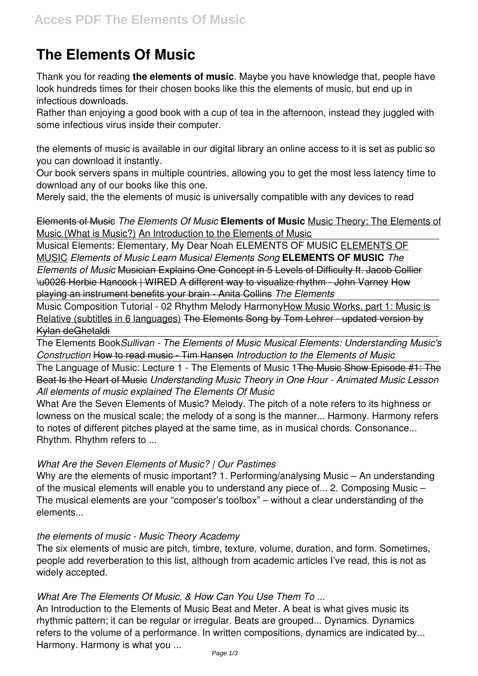# **The Elements Of Music**

Thank you for reading **the elements of music**. Maybe you have knowledge that, people have look hundreds times for their chosen books like this the elements of music, but end up in infectious downloads.

Rather than enjoying a good book with a cup of tea in the afternoon, instead they juggled with some infectious virus inside their computer.

the elements of music is available in our digital library an online access to it is set as public so you can download it instantly.

Our book servers spans in multiple countries, allowing you to get the most less latency time to download any of our books like this one.

Merely said, the the elements of music is universally compatible with any devices to read

Elements of Music *The Elements Of Music* **Elements of Music** Music Theory: The Elements of Music (What is Music?) An Introduction to the Elements of Music

Musical Elements: Elementary, My Dear Noah ELEMENTS OF MUSIC ELEMENTS OF MUSIC *Elements of Music Learn Musical Elements Song* **ELEMENTS OF MUSIC** *The Elements of Music* Musician Explains One Concept in 5 Levels of Difficulty ft. Jacob Collier \u0026 Herbie Hancock | WIRED A different way to visualize rhythm - John Varney How playing an instrument benefits your brain - Anita Collins *The Elements*

Music Composition Tutorial - 02 Rhythm Melody HarmonyHow Music Works, part 1: Music is Relative (subtitles in 6 languages) The Elements Song by Tom Lehrer - updated version by Kylan deGhetaldi

The Elements Book*Sullivan - The Elements of Music Musical Elements: Understanding Music's Construction* How to read music - Tim Hansen *Introduction to the Elements of Music*

The Language of Music: Lecture 1 - The Elements of Music 1<del>The Music Show Episode #1: The</del> Beat Is the Heart of Music *Understanding Music Theory in One Hour - Animated Music Lesson All elements of music explained The Elements Of Music*

What Are the Seven Elements of Music? Melody. The pitch of a note refers to its highness or lowness on the musical scale; the melody of a song is the manner... Harmony. Harmony refers to notes of different pitches played at the same time, as in musical chords. Consonance... Rhythm. Rhythm refers to ...

# *What Are the Seven Elements of Music? | Our Pastimes*

Why are the elements of music important? 1. Performing/analysing Music – An understanding of the musical elements will enable you to understand any piece of... 2. Composing Music – The musical elements are your "composer's toolbox" – without a clear understanding of the elements...

## *the elements of music - Music Theory Academy*

The six elements of music are pitch, timbre, texture, volume, duration, and form. Sometimes, people add reverberation to this list, although from academic articles I've read, this is not as widely accepted.

# *What Are The Elements Of Music, & How Can You Use Them To ...*

An Introduction to the Elements of Music Beat and Meter. A beat is what gives music its rhythmic pattern; it can be regular or irregular. Beats are grouped... Dynamics. Dynamics refers to the volume of a performance. In written compositions, dynamics are indicated by... Harmony. Harmony is what you ...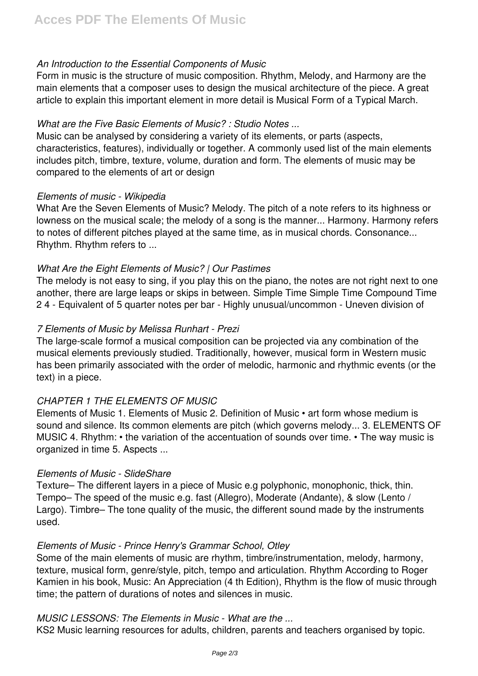# *An Introduction to the Essential Components of Music*

Form in music is the structure of music composition. Rhythm, Melody, and Harmony are the main elements that a composer uses to design the musical architecture of the piece. A great article to explain this important element in more detail is Musical Form of a Typical March.

# *What are the Five Basic Elements of Music? : Studio Notes ...*

Music can be analysed by considering a variety of its elements, or parts (aspects, characteristics, features), individually or together. A commonly used list of the main elements includes pitch, timbre, texture, volume, duration and form. The elements of music may be compared to the elements of art or design

## *Elements of music - Wikipedia*

What Are the Seven Elements of Music? Melody. The pitch of a note refers to its highness or lowness on the musical scale; the melody of a song is the manner... Harmony. Harmony refers to notes of different pitches played at the same time, as in musical chords. Consonance... Rhythm. Rhythm refers to ...

# *What Are the Eight Elements of Music? | Our Pastimes*

The melody is not easy to sing, if you play this on the piano, the notes are not right next to one another, there are large leaps or skips in between. Simple Time Simple Time Compound Time 2 4 - Equivalent of 5 quarter notes per bar - Highly unusual/uncommon - Uneven division of

# *7 Elements of Music by Melissa Runhart - Prezi*

The large-scale formof a musical composition can be projected via any combination of the musical elements previously studied. Traditionally, however, musical form in Western music has been primarily associated with the order of melodic, harmonic and rhythmic events (or the text) in a piece.

# *CHAPTER 1 THE ELEMENTS OF MUSIC*

Elements of Music 1. Elements of Music 2. Definition of Music • art form whose medium is sound and silence. Its common elements are pitch (which governs melody... 3. ELEMENTS OF MUSIC 4. Rhythm: • the variation of the accentuation of sounds over time. • The way music is organized in time 5. Aspects ...

## *Elements of Music - SlideShare*

Texture– The different layers in a piece of Music e.g polyphonic, monophonic, thick, thin. Tempo– The speed of the music e.g. fast (Allegro), Moderate (Andante), & slow (Lento / Largo). Timbre– The tone quality of the music, the different sound made by the instruments used.

## *Elements of Music - Prince Henry's Grammar School, Otley*

Some of the main elements of music are rhythm, timbre/instrumentation, melody, harmony, texture, musical form, genre/style, pitch, tempo and articulation. Rhythm According to Roger Kamien in his book, Music: An Appreciation (4 th Edition), Rhythm is the flow of music through time; the pattern of durations of notes and silences in music.

## *MUSIC LESSONS: The Elements in Music - What are the ...*

KS2 Music learning resources for adults, children, parents and teachers organised by topic.